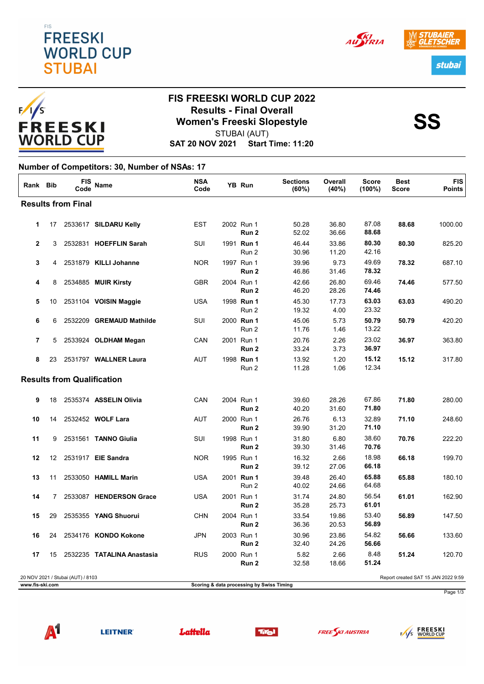



## **FIS FREESKI WORLD CUP 2022 Results - Final Overall<br>Women's Freeski Slopestyle<br>STUBAL(AUT)** STUBAI (AUT)

**SAT 20 NOV 2021 Start Time: 11:20**

#### **Number of Competitors: 30, Number of NSAs: 17**

| Rank Bib                  |    | FIS<br>Code                       | <b>Name</b>                | <b>NSA</b><br>Code |  | <b>YB Run</b>                             | <b>Sections</b><br>(60%) | Overall<br>(40%) | <b>Score</b><br>$(100\%)$ | Best<br><b>Score</b> | <b>FIS</b><br><b>Points</b>         |
|---------------------------|----|-----------------------------------|----------------------------|--------------------|--|-------------------------------------------|--------------------------|------------------|---------------------------|----------------------|-------------------------------------|
| <b>Results from Final</b> |    |                                   |                            |                    |  |                                           |                          |                  |                           |                      |                                     |
| 1                         | 17 |                                   | 2533617 SILDARU Kelly      | <b>EST</b>         |  | 2002 Run 1<br>Run 2                       | 50.28<br>52.02           | 36.80<br>36.66   | 87.08<br>88.68            | 88.68                | 1000.00                             |
| $\overline{2}$            | 3  |                                   | 2532831 HOEFFLIN Sarah     | <b>SUI</b>         |  | 1991 Run 1<br>Run 2                       | 46.44<br>30.96           | 33.86<br>11.20   | 80.30<br>42.16            | 80.30                | 825.20                              |
| 3                         | 4  |                                   | 2531879 KILLI Johanne      | <b>NOR</b>         |  | 1997 Run 1<br>Run <sub>2</sub>            | 39.96<br>46.86           | 9.73<br>31.46    | 49.69<br>78.32            | 78.32                | 687.10                              |
| 4                         | 8  |                                   | 2534885 MUIR Kirsty        | <b>GBR</b>         |  | 2004 Run 1<br>Run <sub>2</sub>            | 42.66<br>46.20           | 26.80<br>28.26   | 69.46<br>74.46            | 74.46                | 577.50                              |
| 5                         | 10 |                                   | 2531104 VOISIN Maggie      | <b>USA</b>         |  | 1998 Run 1<br>Run 2                       | 45.30<br>19.32           | 17.73<br>4.00    | 63.03<br>23.32            | 63.03                | 490.20                              |
| 6                         | 6  |                                   | 2532209 GREMAUD Mathilde   | SUI                |  | 2000 Run 1<br>Run 2                       | 45.06<br>11.76           | 5.73<br>1.46     | 50.79<br>13.22            | 50.79                | 420.20                              |
| $\overline{7}$            | 5  |                                   | 2533924 OLDHAM Megan       | CAN                |  | 2001 Run 1<br>Run 2                       | 20.76<br>33.24           | 2.26<br>3.73     | 23.02<br>36.97            | 36.97                | 363.80                              |
| 8                         | 23 |                                   | 2531797 WALLNER Laura      | <b>AUT</b>         |  | 1998 Run 1<br>Run 2                       | 13.92<br>11.28           | 1.20<br>1.06     | 15.12<br>12.34            | 15.12                | 317.80                              |
|                           |    | <b>Results from Qualification</b> |                            |                    |  |                                           |                          |                  |                           |                      |                                     |
| 9                         | 18 |                                   | 2535374 ASSELIN Olivia     | CAN                |  | 2004 Run 1<br>Run 2                       | 39.60<br>40.20           | 28.26<br>31.60   | 67.86<br>71.80            | 71.80                | 280.00                              |
| 10                        | 14 |                                   | 2532452 WOLF Lara          | <b>AUT</b>         |  | 2000 Run 1<br>Run 2                       | 26.76<br>39.90           | 6.13<br>31.20    | 32.89<br>71.10            | 71.10                | 248.60                              |
| 11                        | 9  |                                   | 2531561 TANNO Giulia       | SUI                |  | 1998 Run 1<br>Run 2                       | 31.80<br>39.30           | 6.80<br>31.46    | 38.60<br>70.76            | 70.76                | 222.20                              |
| 12                        | 12 |                                   | 2531917 EIE Sandra         | <b>NOR</b>         |  | 1995 Run 1<br>Run <sub>2</sub>            | 16.32<br>39.12           | 2.66<br>27.06    | 18.98<br>66.18            | 66.18                | 199.70                              |
| 13                        | 11 |                                   | 2533050 HAMILL Marin       | <b>USA</b>         |  | 2001 Run 1<br>Run 2                       | 39.48<br>40.02           | 26.40<br>24.66   | 65.88<br>64.68            | 65.88                | 180.10                              |
| 14                        | 7  |                                   | 2533087 HENDERSON Grace    | <b>USA</b>         |  | 2001 Run 1<br>Run 2                       | 31.74<br>35.28           | 24.80<br>25.73   | 56.54<br>61.01            | 61.01                | 162.90                              |
| 15                        | 29 |                                   | 2535355 YANG Shuorui       | <b>CHN</b>         |  | 2004 Run 1<br>Run 2                       | 33.54<br>36.36           | 19.86<br>20.53   | 53.40<br>56.89            | 56.89                | 147.50                              |
| 16                        | 24 |                                   | 2534176 KONDO Kokone       | <b>JPN</b>         |  | 2003 Run 1<br>Run 2                       | 30.96<br>32.40           | 23.86<br>24.26   | 54.82<br>56.66            | 56.66                | 133.60                              |
| 17                        | 15 |                                   | 2532235 TATALINA Anastasia | <b>RUS</b>         |  | 2000 Run 1<br>Run 2                       | 5.82<br>32.58            | 2.66<br>18.66    | 8.48<br>51.24             | 51.24                | 120.70                              |
| www.fis-ski.com           |    | 20 NOV 2021 / Stubai (AUT) / 8103 |                            |                    |  | Scoring & data processing by Swiss Timing |                          |                  |                           |                      | Report created SAT 15 JAN 2022 9:59 |



**LEITNER®** 









Page 1/3

stubai

AU STRIA

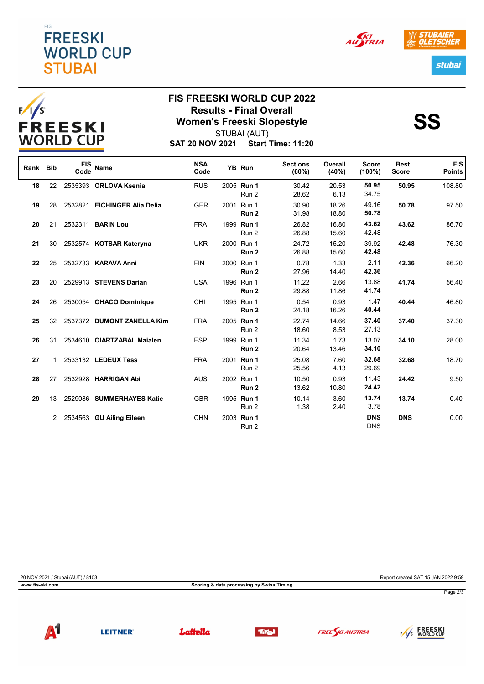### EIS **FREESKI WORLD CUP STUBAI**





# **FIS FREESKI WORLD CUP 2022 Results - Final Overall<br>Women's Freeski Slopestyle<br>STUBAL(AUT)** STUBAI (AUT)

IER

stubai

AU STRIA

**SAT 20 NOV 2021 Start Time: 11:20**

| Rank Bib |    | <b>FIS</b><br>Code | Name                        | <b>NSA</b><br>Code | YB Run                         | <b>Sections</b><br>(60%) | Overall<br>(40%) | <b>Score</b><br>$(100\%)$ | <b>Best</b><br><b>Score</b> | <b>FIS</b><br><b>Points</b> |
|----------|----|--------------------|-----------------------------|--------------------|--------------------------------|--------------------------|------------------|---------------------------|-----------------------------|-----------------------------|
| 18       | 22 |                    | 2535393 ORLOVA Ksenia       | <b>RUS</b>         | 2005 Run 1<br>Run 2            | 30.42<br>28.62           | 20.53<br>6.13    | 50.95<br>34.75            | 50.95                       | 108.80                      |
| 19       | 28 | 2532821            | <b>EICHINGER Alia Delia</b> | <b>GER</b>         | 2001 Run 1<br>Run <sub>2</sub> | 30.90<br>31.98           | 18.26<br>18.80   | 49.16<br>50.78            | 50.78                       | 97.50                       |
| 20       | 21 |                    | 2532311 <b>BARIN Lou</b>    | <b>FRA</b>         | 1999 Run 1<br>Run 2            | 26.82<br>26.88           | 16.80<br>15.60   | 43.62<br>42.48            | 43.62                       | 86.70                       |
| 21       | 30 |                    | 2532574 KOTSAR Kateryna     | <b>UKR</b>         | 2000 Run 1<br>Run 2            | 24.72<br>26.88           | 15.20<br>15.60   | 39.92<br>42.48            | 42.48                       | 76.30                       |
| 22       | 25 |                    | 2532733 KARAVA Anni         | <b>FIN</b>         | 2000 Run 1<br>Run 2            | 0.78<br>27.96            | 1.33<br>14.40    | 2.11<br>42.36             | 42.36                       | 66.20                       |
| 23       | 20 |                    | 2529913 STEVENS Darian      | <b>USA</b>         | 1996 Run 1<br>Run 2            | 11.22<br>29.88           | 2.66<br>11.86    | 13.88<br>41.74            | 41.74                       | 56.40                       |
| 24       | 26 |                    | 2530054 OHACO Dominique     | CHI                | 1995 Run 1<br>Run 2            | 0.54<br>24.18            | 0.93<br>16.26    | 1.47<br>40.44             | 40.44                       | 46.80                       |
| 25       | 32 |                    | 2537372 DUMONT ZANELLA Kim  | <b>FRA</b>         | 2005 Run 1<br>Run 2            | 22.74<br>18.60           | 14.66<br>8.53    | 37.40<br>27.13            | 37.40                       | 37.30                       |
| 26       | 31 |                    | 2534610 OIARTZABAL Maialen  | <b>ESP</b>         | 1999 Run 1<br>Run 2            | 11.34<br>20.64           | 1.73<br>13.46    | 13.07<br>34.10            | 34.10                       | 28.00                       |
| 27       |    |                    | 2533132 LEDEUX Tess         | <b>FRA</b>         | 2001 Run 1<br>Run 2            | 25.08<br>25.56           | 7.60<br>4.13     | 32.68<br>29.69            | 32.68                       | 18.70                       |
| 28       | 27 |                    | 2532928 HARRIGAN Abi        | <b>AUS</b>         | 2002 Run 1<br>Run 2            | 10.50<br>13.62           | 0.93<br>10.80    | 11.43<br>24.42            | 24.42                       | 9.50                        |
| 29       | 13 |                    | 2529086 SUMMERHAYES Katie   | <b>GBR</b>         | 1995 Run 1<br>Run 2            | 10.14<br>1.38            | 3.60<br>2.40     | 13.74<br>3.78             | 13.74                       | 0.40                        |
|          | 2  |                    | 2534563 GU Ailing Eileen    | <b>CHN</b>         | 2003 Run 1<br>Run 2            |                          |                  | <b>DNS</b><br><b>DNS</b>  | <b>DNS</b>                  | 0.00                        |

20 NOV 2021 / Stubai (AUT) / 8103 Report created SAT 15 JAN 2022 9:59

**www.fis-ski.com Scoring & data processing by Swiss Timing**

Page 2/3